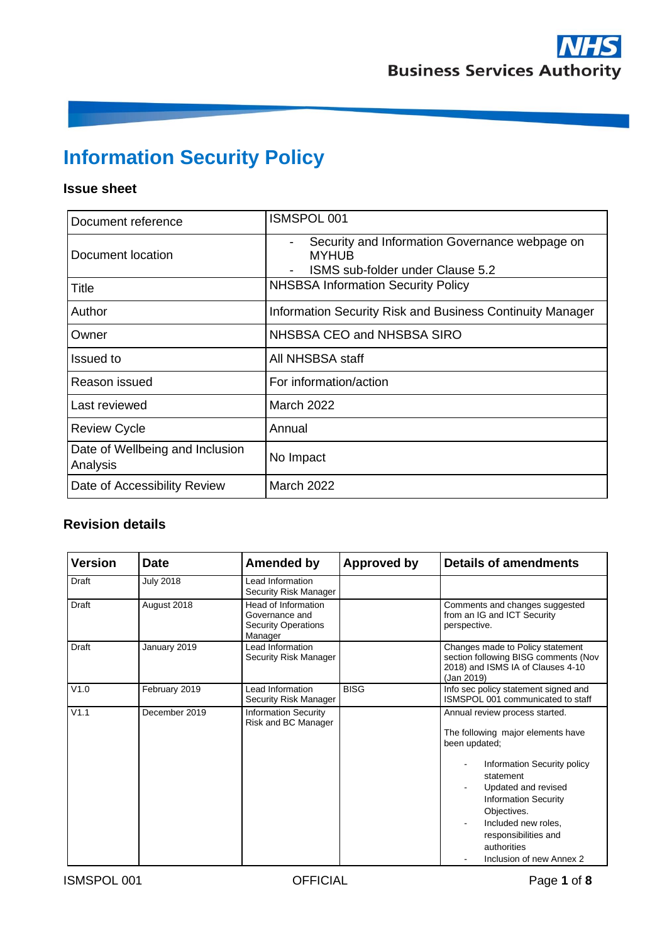# **Information Security Policy**

# **Issue sheet**

| Document reference                          | <b>ISMSPOL 001</b>                                                                                 |  |  |  |
|---------------------------------------------|----------------------------------------------------------------------------------------------------|--|--|--|
| Document location                           | Security and Information Governance webpage on<br><b>MYHUB</b><br>ISMS sub-folder under Clause 5.2 |  |  |  |
| Title                                       | <b>NHSBSA Information Security Policy</b>                                                          |  |  |  |
| Author                                      | Information Security Risk and Business Continuity Manager                                          |  |  |  |
| Owner                                       | NHSBSA CEO and NHSBSA SIRO                                                                         |  |  |  |
| Issued to                                   | All NHSBSA staff                                                                                   |  |  |  |
| Reason issued                               | For information/action                                                                             |  |  |  |
| Last reviewed                               | <b>March 2022</b>                                                                                  |  |  |  |
| <b>Review Cycle</b>                         | Annual                                                                                             |  |  |  |
| Date of Wellbeing and Inclusion<br>Analysis | No Impact                                                                                          |  |  |  |
| Date of Accessibility Review                | <b>March 2022</b>                                                                                  |  |  |  |

# **Revision details**

| Version | <b>Date</b>      | <b>Amended by</b>                                                              | Approved by | <b>Details of amendments</b>                                                                                                                                                                                                                                                                    |
|---------|------------------|--------------------------------------------------------------------------------|-------------|-------------------------------------------------------------------------------------------------------------------------------------------------------------------------------------------------------------------------------------------------------------------------------------------------|
| Draft   | <b>July 2018</b> | Lead Information<br>Security Risk Manager                                      |             |                                                                                                                                                                                                                                                                                                 |
| Draft   | August 2018      | Head of Information<br>Governance and<br><b>Security Operations</b><br>Manager |             | Comments and changes suggested<br>from an IG and ICT Security<br>perspective.                                                                                                                                                                                                                   |
| Draft   | January 2019     | Lead Information<br>Security Risk Manager                                      |             | Changes made to Policy statement<br>section following BISG comments (Nov<br>2018) and ISMS IA of Clauses 4-10<br>(Jan 2019)                                                                                                                                                                     |
| V1.0    | February 2019    | Lead Information<br>Security Risk Manager                                      | <b>BISG</b> | Info sec policy statement signed and<br>ISMSPOL 001 communicated to staff                                                                                                                                                                                                                       |
| V1.1    | December 2019    | <b>Information Security</b><br>Risk and BC Manager                             |             | Annual review process started.<br>The following major elements have<br>been updated;<br>Information Security policy<br>statement<br>Updated and revised<br><b>Information Security</b><br>Objectives.<br>Included new roles.<br>responsibilities and<br>authorities<br>Inclusion of new Annex 2 |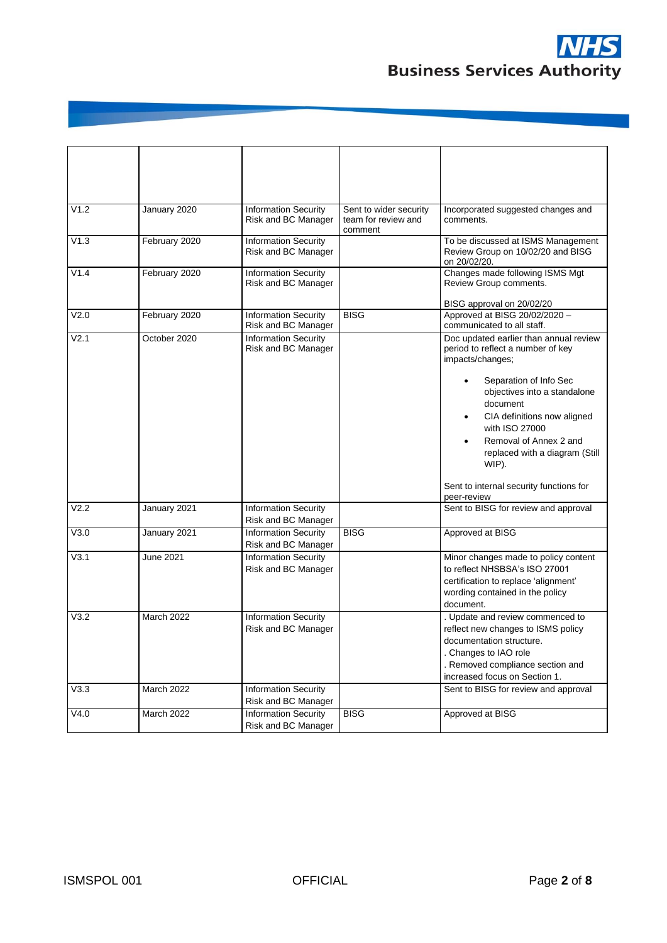

| V1.2 | January 2020  | <b>Information Security</b>                        | Sent to wider security | Incorporated suggested changes and                                      |
|------|---------------|----------------------------------------------------|------------------------|-------------------------------------------------------------------------|
|      |               | Risk and BC Manager                                | team for review and    | comments.                                                               |
|      |               |                                                    | comment                |                                                                         |
| V1.3 | February 2020 | <b>Information Security</b>                        |                        | To be discussed at ISMS Management<br>Review Group on 10/02/20 and BISG |
|      |               | Risk and BC Manager                                |                        | on 20/02/20.                                                            |
| V1.4 | February 2020 | <b>Information Security</b>                        |                        | Changes made following ISMS Mgt                                         |
|      |               | Risk and BC Manager                                |                        | Review Group comments.                                                  |
|      |               |                                                    |                        | BISG approval on 20/02/20                                               |
| V2.0 | February 2020 | <b>Information Security</b>                        | <b>BISG</b>            | Approved at BISG 20/02/2020 -                                           |
|      |               | Risk and BC Manager                                |                        | communicated to all staff.                                              |
| V2.1 | October 2020  | <b>Information Security</b>                        |                        | Doc updated earlier than annual review                                  |
|      |               | Risk and BC Manager                                |                        | period to reflect a number of key<br>impacts/changes;                   |
|      |               |                                                    |                        |                                                                         |
|      |               |                                                    |                        | Separation of Info Sec                                                  |
|      |               |                                                    |                        | objectives into a standalone                                            |
|      |               |                                                    |                        | document                                                                |
|      |               |                                                    |                        | CIA definitions now aligned<br>$\bullet$<br>with ISO 27000              |
|      |               |                                                    |                        | Removal of Annex 2 and                                                  |
|      |               |                                                    |                        | replaced with a diagram (Still                                          |
|      |               |                                                    |                        | WIP).                                                                   |
|      |               |                                                    |                        |                                                                         |
|      |               |                                                    |                        | Sent to internal security functions for<br>peer-review                  |
| V2.2 | January 2021  | <b>Information Security</b>                        |                        | Sent to BISG for review and approval                                    |
|      |               | Risk and BC Manager                                |                        |                                                                         |
| V3.0 | January 2021  | <b>Information Security</b>                        | <b>BISG</b>            | Approved at BISG                                                        |
|      |               | Risk and BC Manager                                |                        |                                                                         |
| V3.1 | June 2021     | <b>Information Security</b>                        |                        | Minor changes made to policy content                                    |
|      |               | Risk and BC Manager                                |                        | to reflect NHSBSA's ISO 27001                                           |
|      |               |                                                    |                        | certification to replace 'alignment'<br>wording contained in the policy |
|      |               |                                                    |                        | document.                                                               |
| V3.2 | March 2022    | <b>Information Security</b>                        |                        | . Update and review commenced to                                        |
|      |               | Risk and BC Manager                                |                        | reflect new changes to ISMS policy                                      |
|      |               |                                                    |                        | documentation structure.                                                |
|      |               |                                                    |                        | . Changes to IAO role                                                   |
|      |               |                                                    |                        | . Removed compliance section and                                        |
|      |               |                                                    |                        | increased focus on Section 1.                                           |
| V3.3 | March 2022    | <b>Information Security</b>                        |                        | Sent to BISG for review and approval                                    |
| V4.0 | March 2022    | Risk and BC Manager<br><b>Information Security</b> | <b>BISG</b>            | Approved at BISG                                                        |
|      |               | Risk and BC Manager                                |                        |                                                                         |
|      |               |                                                    |                        |                                                                         |

**THE REPORT OF PERSON NAMED IN**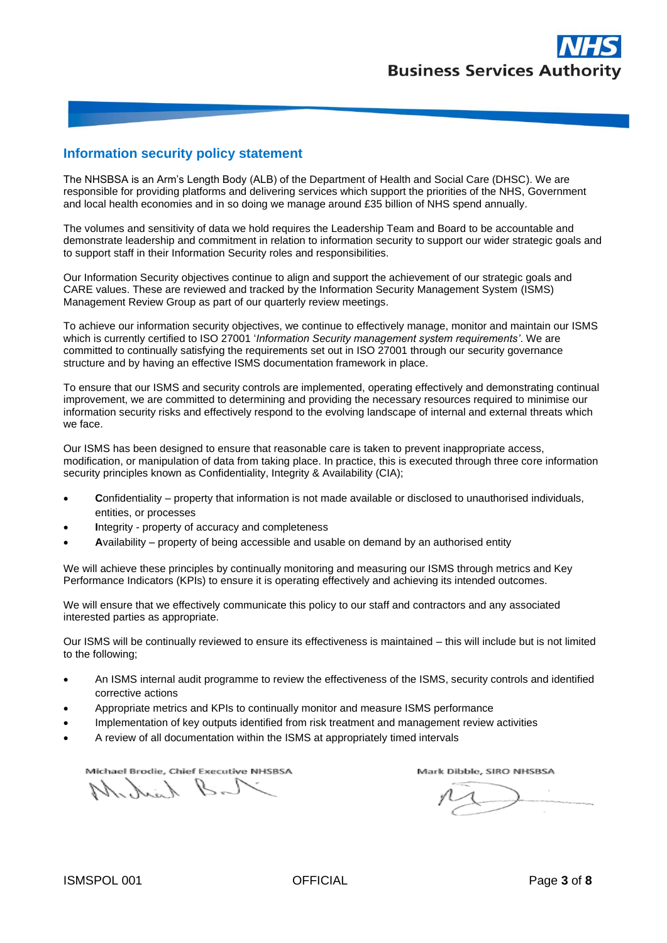#### **Information security policy statement**

The NHSBSA is an Arm's Length Body (ALB) of the Department of Health and Social Care (DHSC). We are responsible for providing platforms and delivering services which support the priorities of the NHS, Government and local health economies and in so doing we manage around £35 billion of NHS spend annually.

The volumes and sensitivity of data we hold requires the Leadership Team and Board to be accountable and demonstrate leadership and commitment in relation to information security to support our wider strategic goals and to support staff in their Information Security roles and responsibilities.

Our Information Security objectives continue to align and support the achievement of our strategic goals and CARE values. These are reviewed and tracked by the Information Security Management System (ISMS) Management Review Group as part of our quarterly review meetings.

To achieve our information security objectives, we continue to effectively manage, monitor and maintain our ISMS which is currently certified to ISO 27001 '*Information Security management system requirements'*. We are committed to continually satisfying the requirements set out in ISO 27001 through our security governance structure and by having an effective ISMS documentation framework in place.

To ensure that our ISMS and security controls are implemented, operating effectively and demonstrating continual improvement, we are committed to determining and providing the necessary resources required to minimise our information security risks and effectively respond to the evolving landscape of internal and external threats which we face.

Our ISMS has been designed to ensure that reasonable care is taken to prevent inappropriate access, modification, or manipulation of data from taking place. In practice, this is executed through three core information security principles known as Confidentiality, Integrity & Availability (CIA);

- **C**onfidentiality property that information is not made available or disclosed to unauthorised individuals, entities, or [processes](https://www.iso.org/obp/ui/#iso:std:iso-iec:27000:ed-5:v1:en:term:3.54)
- **I**ntegrity property of accuracy and completeness
- **A**vailability property of being accessible and usable on demand by an authorised entity

We will achieve these principles by continually monitoring and measuring our ISMS through metrics and Key Performance Indicators (KPIs) to ensure it is operating effectively and achieving its intended outcomes.

We will ensure that we effectively communicate this policy to our staff and contractors and any associated interested parties as appropriate.

Our ISMS will be continually reviewed to ensure its effectiveness is maintained – this will include but is not limited to the following;

- An ISMS internal audit programme to review the effectiveness of the ISMS, security controls and identified corrective actions
- Appropriate metrics and KPIs to continually monitor and measure ISMS performance
- Implementation of key outputs identified from risk treatment and management review activities
- A review of all documentation within the ISMS at appropriately timed intervals

Michael Brodie, Chief Executive NHSBSA

Toll Kinholl

Mark Dibble, SIRO NHSBSA

 $M$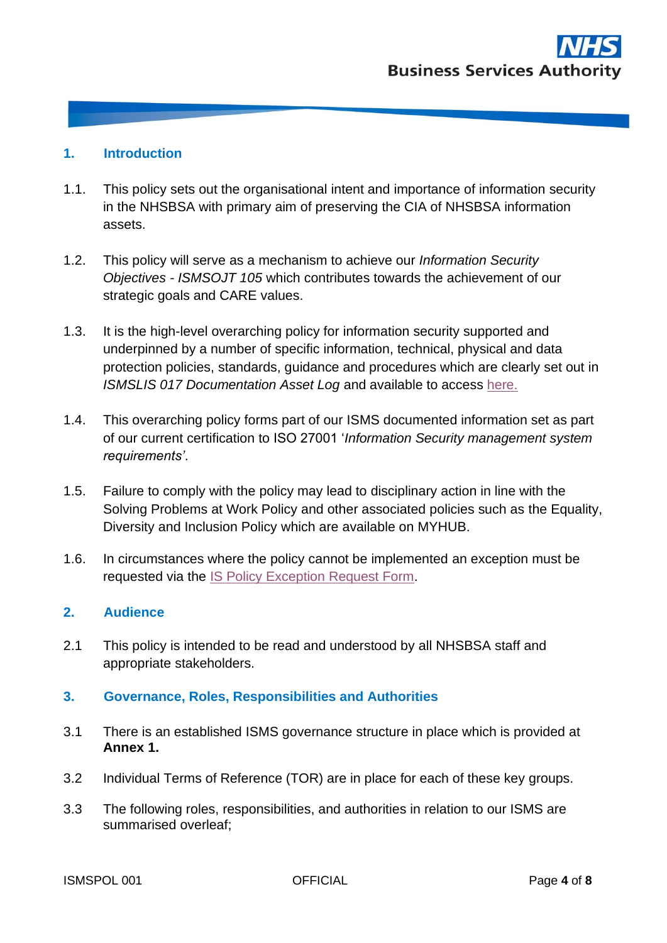## **1. Introduction**

- 1.1. This policy sets out the organisational intent and importance of information security in the NHSBSA with primary aim of preserving the CIA of NHSBSA information assets.
- 1.2. This policy will serve as a mechanism to achieve our *Information Security Objectives - ISMSOJT 105* which contributes towards the achievement of our strategic goals and CARE values.
- 1.3. It is the high-level overarching policy for information security supported and underpinned by a number of specific information, technical, physical and data protection policies, standards, guidance and procedures which are clearly set out in *ISMSLIS 017 Documentation Asset Log* and available to access [here.](https://nhsbsauk.sharepoint.com/sites/InformationSecurity/SitePages/NHS-BSA-Information-Security-Policies.aspx?csf=1&e=yie8VY)
- 1.4. This overarching policy forms part of our ISMS documented information set as part of our current certification to ISO 27001 '*Information Security management system requirements'*.
- 1.5. Failure to comply with the policy may lead to disciplinary action in line with the Solving Problems at Work Policy and other associated policies such as the Equality, Diversity and Inclusion Policy which are available on MYHUB.
- 1.6. In circumstances where the policy cannot be implemented an exception must be requested via the [IS Policy Exception Request Form.](https://forms.office.com/Pages/ResponsePage.aspx?id=ggRtz7GGiE-MDDtN5MtALJ4ffb0JhnJAmMLs3T3uYEdUMzRMNk5QUDM3OTc4UklFN1lBNllFTFE4VyQlQCN0PWcu)

#### **2. Audience**

2.1 This policy is intended to be read and understood by all NHSBSA staff and appropriate stakeholders.

# **3. Governance, Roles, Responsibilities and Authorities**

- 3.1 There is an established ISMS governance structure in place which is provided at **Annex 1.**
- 3.2 Individual Terms of Reference (TOR) are in place for each of these key groups.
- 3.3 The following roles, responsibilities, and authorities in relation to our ISMS are summarised overleaf;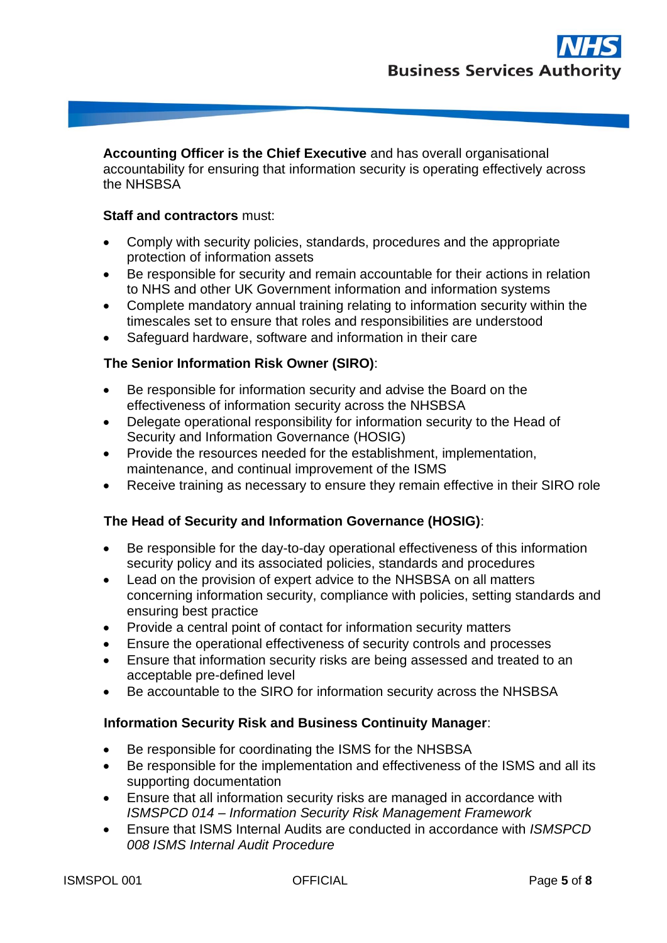**Accounting Officer is the Chief Executive** and has overall organisational accountability for ensuring that information security is operating effectively across the NHSBSA

#### **Staff and contractors** must:

- Comply with security policies, standards, procedures and the appropriate protection of information assets
- Be responsible for security and remain accountable for their actions in relation to NHS and other UK Government information and information systems
- Complete mandatory annual training relating to information security within the timescales set to ensure that roles and responsibilities are understood
- Safeguard hardware, software and information in their care

# **The Senior Information Risk Owner (SIRO)**:

- Be responsible for information security and advise the Board on the effectiveness of information security across the NHSBSA
- Delegate operational responsibility for information security to the Head of Security and Information Governance (HOSIG)
- Provide the resources needed for the establishment, implementation, maintenance, and continual improvement of the ISMS
- Receive training as necessary to ensure they remain effective in their SIRO role

#### **The Head of Security and Information Governance (HOSIG)**:

- Be responsible for the day-to-day operational effectiveness of this information security policy and its associated policies, standards and procedures
- Lead on the provision of expert advice to the NHSBSA on all matters concerning information security, compliance with policies, setting standards and ensuring best practice
- Provide a central point of contact for information security matters
- Ensure the operational effectiveness of security controls and processes
- Ensure that information security risks are being assessed and treated to an acceptable pre-defined level
- Be accountable to the SIRO for information security across the NHSBSA

#### **Information Security Risk and Business Continuity Manager**:

- Be responsible for coordinating the ISMS for the NHSBSA
- Be responsible for the implementation and effectiveness of the ISMS and all its supporting documentation
- Ensure that all information security risks are managed in accordance with *ISMSPCD 014 – Information Security Risk Management Framework*
- Ensure that ISMS Internal Audits are conducted in accordance with *ISMSPCD 008 ISMS Internal Audit Procedure*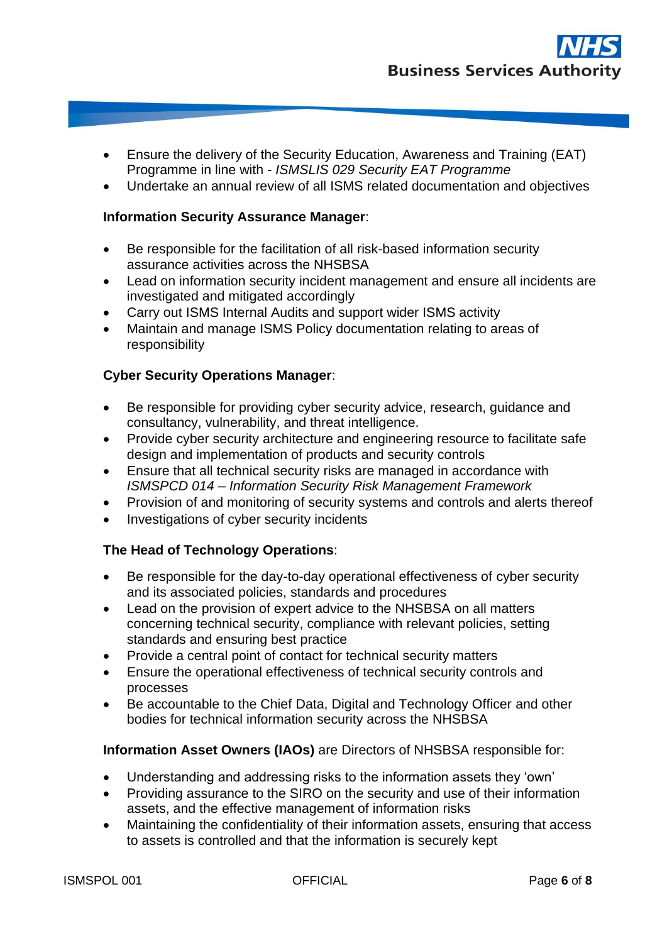- Ensure the delivery of the Security Education, Awareness and Training (EAT) Programme in line with - *ISMSLIS 029 Security EAT Programme*
- Undertake an annual review of all ISMS related documentation and objectives

#### **Information Security Assurance Manager**:

- Be responsible for the facilitation of all risk-based information security assurance activities across the NHSBSA
- Lead on information security incident management and ensure all incidents are investigated and mitigated accordingly
- Carry out ISMS Internal Audits and support wider ISMS activity
- Maintain and manage ISMS Policy documentation relating to areas of responsibility

### **Cyber Security Operations Manager**:

- Be responsible for providing cyber security advice, research, guidance and consultancy, vulnerability, and threat intelligence.
- Provide cyber security architecture and engineering resource to facilitate safe design and implementation of products and security controls
- Ensure that all technical security risks are managed in accordance with *ISMSPCD 014 – Information Security Risk Management Framework*
- Provision of and monitoring of security systems and controls and alerts thereof
- Investigations of cyber security incidents

#### **The Head of Technology Operations**:

- Be responsible for the day-to-day operational effectiveness of cyber security and its associated policies, standards and procedures
- Lead on the provision of expert advice to the NHSBSA on all matters concerning technical security, compliance with relevant policies, setting standards and ensuring best practice
- Provide a central point of contact for technical security matters
- Ensure the operational effectiveness of technical security controls and processes
- Be accountable to the Chief Data, Digital and Technology Officer and other bodies for technical information security across the NHSBSA

#### **Information Asset Owners (IAOs)** are Directors of NHSBSA responsible for:

- Understanding and addressing risks to the information assets they 'own'
- Providing assurance to the SIRO on the security and use of their information assets, and the effective management of information risks
- Maintaining the confidentiality of their information assets, ensuring that access to assets is controlled and that the information is securely kept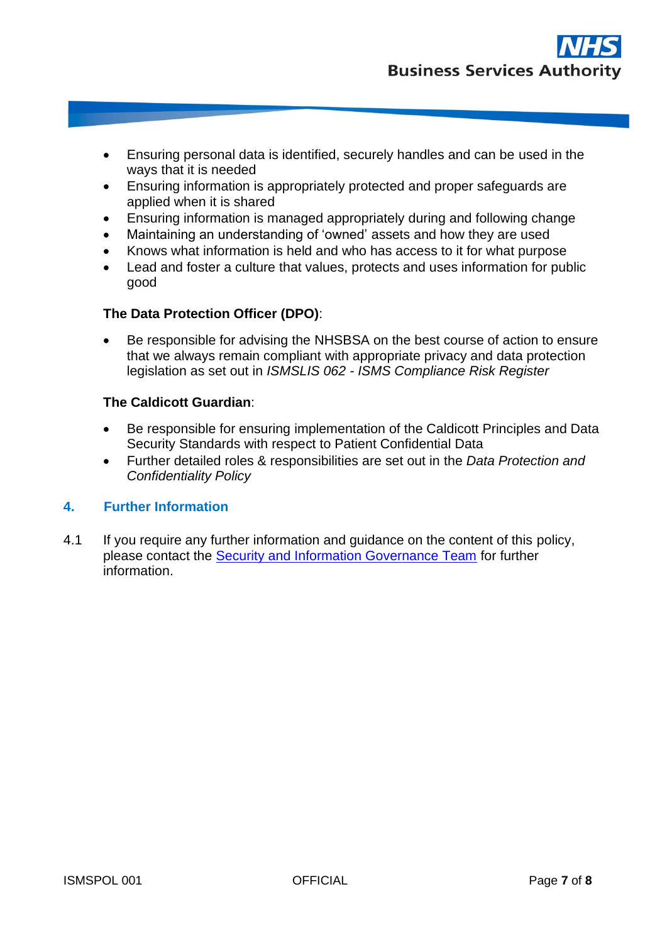- Ensuring personal data is identified, securely handles and can be used in the ways that it is needed
- Ensuring information is appropriately protected and proper safeguards are applied when it is shared
- Ensuring information is managed appropriately during and following change
- Maintaining an understanding of 'owned' assets and how they are used
- Knows what information is held and who has access to it for what purpose
- Lead and foster a culture that values, protects and uses information for public good

# **The Data Protection Officer (DPO)**:

• Be responsible for advising the NHSBSA on the best course of action to ensure that we always remain compliant with appropriate privacy and data protection legislation as set out in *ISMSLIS 062 - ISMS Compliance Risk Register*

#### **The Caldicott Guardian**:

- Be responsible for ensuring implementation of the Caldicott Principles and Data Security Standards with respect to Patient Confidential Data
- Further detailed roles & responsibilities are set out in the *Data Protection and Confidentiality Policy*

#### **4. Further Information**

4.1 If you require any further information and guidance on the content of this policy, please contact the [Security and Information Governance Team](mailto:nhsbsa.informationsecurity@nhs.net) for further information.